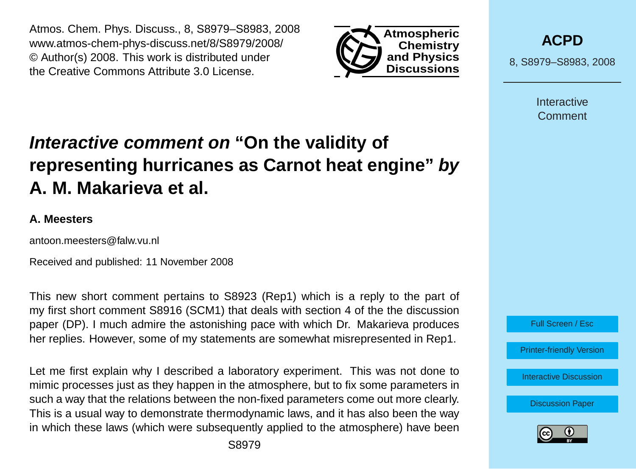Atmos. Chem. Phys. Discuss., 8, S8979–S8983, 2008 www.atmos-chem-phys-discuss.net/8/S8979/2008/ © Author(s) 2008. This work is distributed under the Creative Commons Attribute 3.0 License.



**[ACPD](http://www.atmos-chem-phys-discuss.net)**

8, S8979–S8983, 2008

**Interactive Comment** 

# **Interactive comment on "On the validity of representing hurricanes as Carnot heat engine" by A. M. Makarieva et al.**

#### **A. Meesters**

antoon.meesters@falw.vu.nl

Received and published: 11 November 2008

This new short comment pertains to S8923 (Rep1) which is a reply to the part of my first short comment S8916 (SCM1) that deals with section 4 of the the discussion paper (DP). I much admire the astonishing pace with which Dr. Makarieva produces her replies. However, some of my statements are somewhat misrepresented in Rep1.

Let me first explain why I described a laboratory experiment. This was not done to mimic processes just as they happen in the atmosphere, but to fix some parameters in such a way that the relations between the non-fixed parameters come out more clearly. This is a usual way to demonstrate thermodynamic laws, and it has also been the way in which these laws (which were subsequently applied to the atmosphere) have been



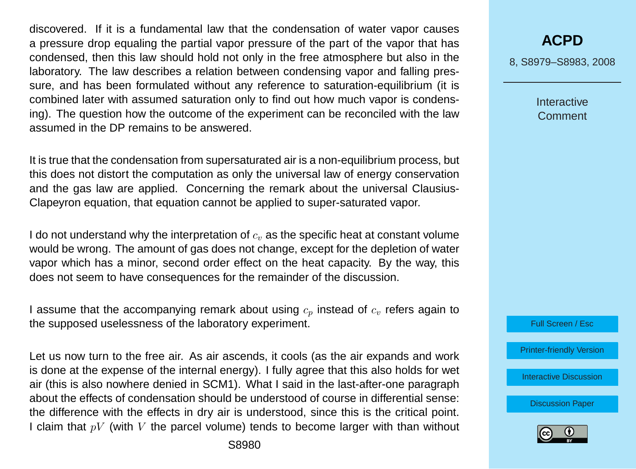discovered. If it is a fundamental law that the condensation of water vapor causes a pressure drop equaling the partial vapor pressure of the part of the vapor that has condensed, then this law should hold not only in the free atmosphere but also in the laboratory. The law describes a relation between condensing vapor and falling pressure, and has been formulated without any reference to saturation-equilibrium (it is combined later with assumed saturation only to find out how much vapor is condensing). The question how the outcome of the experiment can be reconciled with the law assumed in the DP remains to be answered.

It is true that the condensation from supersaturated air is a non-equilibrium process, but this does not distort the computation as only the universal law of energy conservation and the gas law are applied. Concerning the remark about the universal Clausius-Clapeyron equation, that equation cannot be applied to super-saturated vapor.

I do not understand why the interpretation of  $c<sub>v</sub>$ , as the specific heat at constant volume would be wrong. The amount of gas does not change, except for the depletion of water vapor which has a minor, second order effect on the heat capacity. By the way, this does not seem to have consequences for the remainder of the discussion.

I assume that the accompanying remark about using  $c_n$  instead of  $c_v$  refers again to the supposed uselessness of the laboratory experiment.

Let us now turn to the free air. As air ascends, it cools (as the air expands and work is done at the expense of the internal energy). I fully agree that this also holds for wet air (this is also nowhere denied in SCM1). What I said in the last-after-one paragraph about the effects of condensation should be understood of course in differential sense: the difference with the effects in dry air is understood, since this is the critical point. I claim that  $pV$  (with V the parcel volume) tends to become larger with than without

**[ACPD](http://www.atmos-chem-phys-discuss.net)**

8, S8979–S8983, 2008

**Interactive Comment** 

Full Screen / Esc

[Printer-friendly Version](http://www.atmos-chem-phys-discuss.net/8/S8979/2008/acpd-8-S8979-2008-print.pdf)

[Interactive Discussion](http://www.atmos-chem-phys-discuss.net/8/17423/2008/acpd-8-17423-2008-discussion.html)

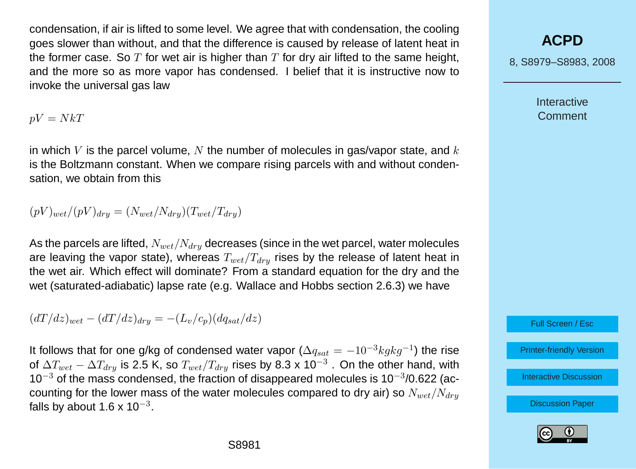condensation, if air is lifted to some level. We agree that with condensation, the cooling goes slower than without, and that the difference is caused by release of latent heat in the former case. So  $T$  for wet air is higher than  $T$  for dry air lifted to the same height, and the more so as more vapor has condensed. I belief that it is instructive now to invoke the universal gas law

 $pV = NkT$ 

in which V is the parcel volume,  $N$  the number of molecules in gas/vapor state, and  $k$ is the Boltzmann constant. When we compare rising parcels with and without condensation, we obtain from this

 $(pV)_{wet}/(pV)_{dry} = (N_{wet}/N_{dry})(T_{wet}/T_{dry})$ 

As the parcels are lifted,  $N_{wet}/N_{drv}$  decreases (since in the wet parcel, water molecules are leaving the vapor state), whereas  $T_{wet}/T_{dry}$  rises by the release of latent heat in the wet air. Which effect will dominate? From a standard equation for the dry and the wet (saturated-adiabatic) lapse rate (e.g. Wallace and Hobbs section 2.6.3) we have

 $(dT/dz)_{wet} - (dT/dz)_{dry} = -(L_v/c_p)(dq_{sat}/dz)$ 

It follows that for one g/kg of condensed water vapor ( $\Delta q_{sat}=-10^{-3}kgkg^{-1}$ ) the rise of  $\Delta T_{wet}-\Delta T_{dry}$  is 2.5 K, so  $T_{wet}/T_{dry}$  rises by 8.3 x 10 $^{-3}$  . On the other hand, with  $10^{-3}$  of the mass condensed, the fraction of disappeared molecules is 10<sup>-3</sup>/0.622 (accounting for the lower mass of the water molecules compared to dry air) so  $N_{wet}/N_{drv}$ falls by about 1.6 x 10 $^{\rm -3}.$ 

# **[ACPD](http://www.atmos-chem-phys-discuss.net)**

8, S8979–S8983, 2008

**Interactive** Comment

Full Screen / Esc

[Printer-friendly Version](http://www.atmos-chem-phys-discuss.net/8/S8979/2008/acpd-8-S8979-2008-print.pdf)

[Interactive Discussion](http://www.atmos-chem-phys-discuss.net/8/17423/2008/acpd-8-17423-2008-discussion.html)

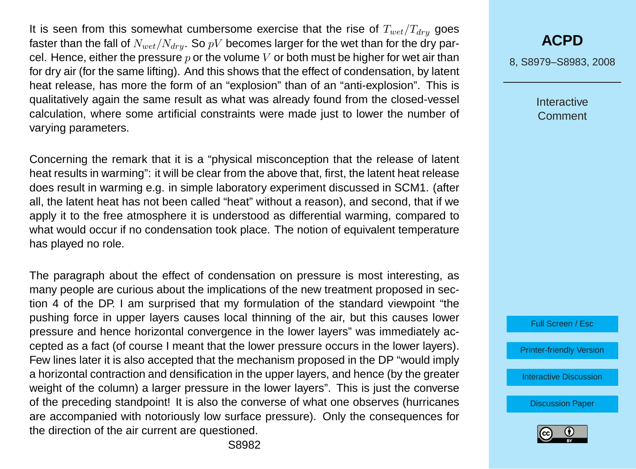It is seen from this somewhat cumbersome exercise that the rise of  $T_{wet}/T_{drv}$  goes faster than the fall of  $N_{wet}/N_{dru}$ . So pV becomes larger for the wet than for the dry parcel. Hence, either the pressure  $p$  or the volume  $V$  or both must be higher for wet air than for dry air (for the same lifting). And this shows that the effect of condensation, by latent heat release, has more the form of an "explosion" than of an "anti-explosion". This is qualitatively again the same result as what was already found from the closed-vessel calculation, where some artificial constraints were made just to lower the number of varying parameters.

Concerning the remark that it is a "physical misconception that the release of latent heat results in warming": it will be clear from the above that, first, the latent heat release does result in warming e.g. in simple laboratory experiment discussed in SCM1. (after all, the latent heat has not been called "heat" without a reason), and second, that if we apply it to the free atmosphere it is understood as differential warming, compared to what would occur if no condensation took place. The notion of equivalent temperature has played no role.

The paragraph about the effect of condensation on pressure is most interesting, as many people are curious about the implications of the new treatment proposed in section 4 of the DP. I am surprised that my formulation of the standard viewpoint "the pushing force in upper layers causes local thinning of the air, but this causes lower pressure and hence horizontal convergence in the lower layers" was immediately accepted as a fact (of course I meant that the lower pressure occurs in the lower layers). Few lines later it is also accepted that the mechanism proposed in the DP "would imply a horizontal contraction and densification in the upper layers, and hence (by the greater weight of the column) a larger pressure in the lower layers". This is just the converse of the preceding standpoint! It is also the converse of what one observes (hurricanes are accompanied with notoriously low surface pressure). Only the consequences for the direction of the air current are questioned.

## **[ACPD](http://www.atmos-chem-phys-discuss.net)**

8, S8979–S8983, 2008

**Interactive Comment** 



[Printer-friendly Version](http://www.atmos-chem-phys-discuss.net/8/S8979/2008/acpd-8-S8979-2008-print.pdf)

[Interactive Discussion](http://www.atmos-chem-phys-discuss.net/8/17423/2008/acpd-8-17423-2008-discussion.html)